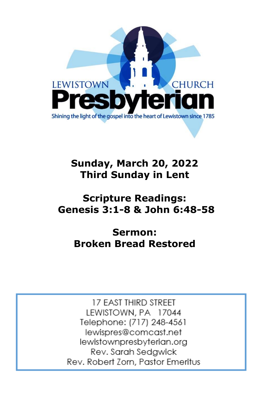

# **Sunday, March 20, 2022 Third Sunday in Lent**

# **Scripture Readings: Genesis 3:1-8 & John 6:48-58**

# **Sermon: Broken Bread Restored**

17 EAST THIRD STREET LEWISTOWN, PA 17044 Telephone: (717) 248-4561 lewispres@comcast.net lewistownpresbyterian.org Rev. Sarah Sedgwick Rev. Robert Zorn, Pastor Emeritus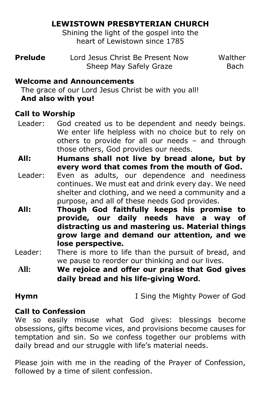# **LEWISTOWN PRESBYTERIAN CHURCH**

Shining the light of the gospel into the heart of Lewistown since 1785

| <b>Prelude</b> | Lord Jesus Christ Be Present Now | Walther |
|----------------|----------------------------------|---------|
|                | Sheep May Safely Graze           | Bach    |

### **Welcome and Announcements**

The grace of our Lord Jesus Christ be with you all! **And also with you!**

### **Call to Worship**

- Leader: God created us to be dependent and needy beings. We enter life helpless with no choice but to rely on others to provide for all our needs – and through those others, God provides our needs.
- **All: Humans shall not live by bread alone, but by every word that comes from the mouth of God.**
- Leader: Even as adults, our dependence and neediness continues. We must eat and drink every day. We need shelter and clothing, and we need a community and a purpose, and all of these needs God provides.
- **All: Though God faithfully keeps his promise to provide, our daily needs have a way of distracting us and mastering us. Material things grow large and demand our attention, and we lose perspective.**
- Leader: There is more to life than the pursuit of bread, and we pause to reorder our thinking and our lives.
- **All: We rejoice and offer our praise that God gives daily bread and his life-giving Word.**

**Hymn** I Sing the Mighty Power of God

### **Call to Confession**

We so easily misuse what God gives: blessings become obsessions, gifts become vices, and provisions become causes for temptation and sin. So we confess together our problems with daily bread and our struggle with life's material needs.

Please join with me in the reading of the Prayer of Confession, followed by a time of silent confession.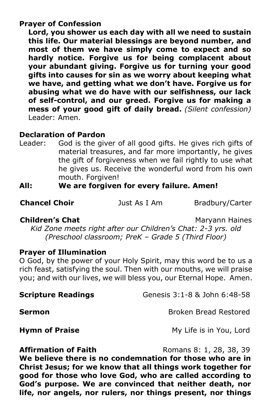### **Prayer of Confession**

**Lord, you shower us each day with all we need to sustain this life. Our material blessings are beyond number, and most of them we have simply come to expect and so hardly notice. Forgive us for being complacent about your abundant giving. Forgive us for turning your good gifts into causes for sin as we worry about keeping what we have, and getting what we don't have. Forgive us for abusing what we do have with our selfishness, our lack of self-control, and our greed. Forgive us for making a mess of your good gift of daily bread.** *(Silent confession)* Leader: Amen.

### **Declaration of Pardon**

Leader: God is the giver of all good gifts. He gives rich gifts of material treasures, and far more importantly, he gives the gift of forgiveness when we fail rightly to use what he gives us. Receive the wonderful word from his own mouth. Forgiven!

# **All: We are forgiven for every failure. Amen!**

**Chancel Choir Just As I Am** Bradbury/Carter

### **Children's Chat** Maryann Haines

*Kid Zone meets right after our Children's Chat: 2-3 yrs. old (Preschool classroom; PreK – Grade 5 (Third Floor)*

### **Prayer of Illumination**

O God, by the power of your Holy Spirit, may this word be to us a rich feast, satisfying the soul. Then with our mouths, we will praise you; and with our lives, we will bless you, our Eternal Hope. Amen.

**Scripture Readings Genesis 3:1-8 & John 6:48-58** 

**Sermon Broken Bread Restored** 

**Hymn of Praise** My Life is in You, Lord

**Affirmation of Faith Romans 8: 1, 28, 38, 39** 

**We believe there is no condemnation for those who are in Christ Jesus; for we know that all things work together for good for those who love God, who are called according to God's purpose. We are convinced that neither death, nor life, nor angels, nor rulers, nor things present, nor things**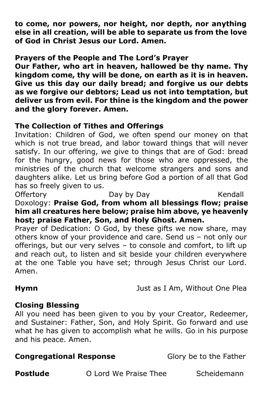**to come, nor powers, nor height, nor depth, nor anything else in all creation, will be able to separate us from the love of God in Christ Jesus our Lord. Amen.**

### **Prayers of the People and The Lord's Prayer**

**Our Father, who art in heaven, hallowed be thy name. Thy kingdom come, thy will be done, on earth as it is in heaven. Give us this day our daily bread; and forgive us our debts as we forgive our debtors; Lead us not into temptation, but deliver us from evil. For thine is the kingdom and the power and the glory forever. Amen.**

### **The Collection of Tithes and Offerings**

Invitation: Children of God, we often spend our money on that which is not true bread, and labor toward things that will never satisfy. In our offering, we give to things that are of God: bread for the hungry, good news for those who are oppressed, the ministries of the church that welcome strangers and sons and daughters alike. Let us bring before God a portion of all that God has so freely given to us.

Offertory Day by Day Nendall

Doxology: **Praise God, from whom all blessings flow; praise him all creatures here below; praise him above, ye heavenly host; praise Father, Son, and Holy Ghost. Amen.**

Prayer of Dedication: O God, by these gifts we now share, may others know of your providence and care. Send us – not only our offerings, but our very selves – to console and comfort, to lift up and reach out, to listen and sit beside your children everywhere at the one Table you have set; through Jesus Christ our Lord. Amen.

**Hymn** Just as I Am, Without One Plea

# **Closing Blessing**

All you need has been given to you by your Creator, Redeemer, and Sustainer: Father, Son, and Holy Spirit. Go forward and use what he has given to accomplish what he wills. Go in his purpose and his peace. Amen.

### **Congregational Response** Glory be to the Father

**Postlude O Lord We Praise Thee** Scheidemann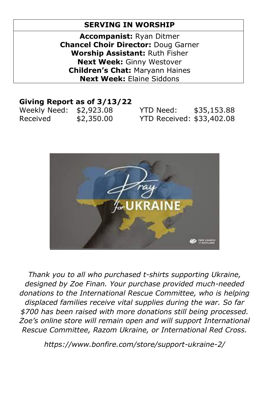# **SERVING IN WORSHIP**

**Accompanist:** Ryan Ditmer **Chancel Choir Director:** Doug Garner **Worship Assistant:** Ruth Fisher **Next Week:** Ginny Westover **Children's Chat:** Maryann Haines **Next Week:** Elaine Siddons

### **Giving Report as of 3/13/22**

| Weekly Need: \$2,923.08 |            | YTD Need:                 | \$35,153.88 |
|-------------------------|------------|---------------------------|-------------|
| Received                | \$2,350.00 | YTD Received: \$33,402.08 |             |



*Thank you to all who purchased t-shirts supporting Ukraine, designed by Zoe Finan. Your purchase provided much-needed donations to the International Rescue Committee, who is helping displaced families receive vital supplies during the war. So far \$700 has been raised with more donations still being processed. Zoe's online store will remain open and will support International Rescue Committee, Razom Ukraine, or International Red Cross.*

*https://www.bonfire.com/store/support-ukraine-2/*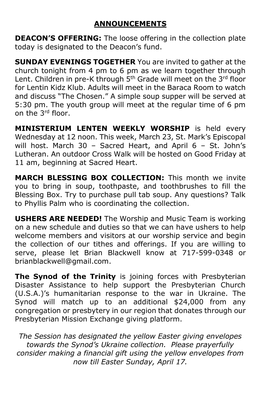# **ANNOUNCEMENTS**

**DEACON'S OFFERING:** The loose offering in the collection plate today is designated to the Deacon's fund.

**SUNDAY EVENINGS TOGETHER** You are invited to gather at the church tonight from 4 pm to 6 pm as we learn together through Lent. Children in pre-K through 5<sup>th</sup> Grade will meet on the 3<sup>rd</sup> floor for Lentin Kidz Klub. Adults will meet in the Baraca Room to watch and discuss "The Chosen." A simple soup supper will be served at 5:30 pm. The youth group will meet at the regular time of 6 pm on the 3rd floor.

**MINISTERIUM LENTEN WEEKLY WORSHIP** is held every Wednesday at 12 noon. This week, March 23, St. Mark's Episcopal will host. March 30 – Sacred Heart, and April 6 – St. John's Lutheran. An outdoor Cross Walk will be hosted on Good Friday at 11 am, beginning at Sacred Heart.

**MARCH BLESSING BOX COLLECTION:** This month we invite you to bring in soup, toothpaste, and toothbrushes to fill the Blessing Box. Try to purchase pull tab soup. Any questions? Talk to Phyllis Palm who is coordinating the collection.

**USHERS ARE NEEDED!** The Worship and Music Team is working on a new schedule and duties so that we can have ushers to help welcome members and visitors at our worship service and begin the collection of our tithes and offerings. If you are willing to serve, please let Brian Blackwell know at 717-599-0348 or brianblackwell@gmail.com.

**The Synod of the Trinity** is joining forces with Presbyterian Disaster Assistance to help support the Presbyterian Church (U.S.A.)'s humanitarian response to the war in Ukraine. The Synod will match up to an additional \$24,000 from any congregation or presbytery in our region that donates through our Presbyterian Mission Exchange giving platform.

*The Session has designated the yellow Easter giving envelopes towards the Synod's Ukraine collection. Please prayerfully consider making a financial gift using the yellow envelopes from now till Easter Sunday, April 17.*